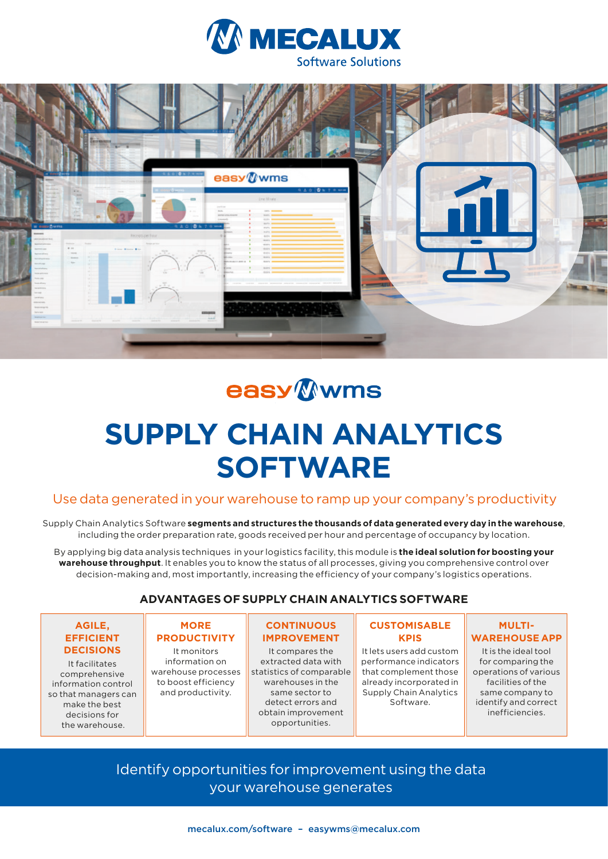



## **easy** Wwms

# **SUPPLY CHAIN ANALYTICS SOFTWARE**

## Use data generated in your warehouse to ramp up your company's productivity

Supply Chain Analytics Software **segments and structures the thousands of data generated every day in the warehouse**, including the order preparation rate, goods received per hour and percentage of occupancy by location.

By applying big data analysis techniques in your logistics facility, this module is **the ideal solution for boosting your warehouse throughput**. It enables you to know the status of all processes, giving you comprehensive control over decision-making and, most importantly, increasing the efficiency of your company's logistics operations.

## **ADVANTAGES OF SUPPLY CHAIN ANALYTICS SOFTWARE**

#### **AGILE, EFFICIENT DECISIONS**

It facilitates comprehensive information control so that managers can make the best decisions for the warehouse.

## **MORE PRODUCTIVITY**

It monitors information on warehouse processes to boost efficiency and productivity.

## **CONTINUOUS IMPROVEMENT**

It compares the extracted data with statistics of comparable warehouses in the same sector to detect errors and obtain improvement opportunities.

#### **CUSTOMISABLE KPIS**

It lets users add custom performance indicators that complement those already incorporated in Supply Chain Analytics Software.

## **MULTI-WAREHOUSE APP**

It is the ideal tool for comparing the operations of various facilities of the same company to identify and correct inefficiencies.

Identify opportunities for improvement using the data your warehouse generates